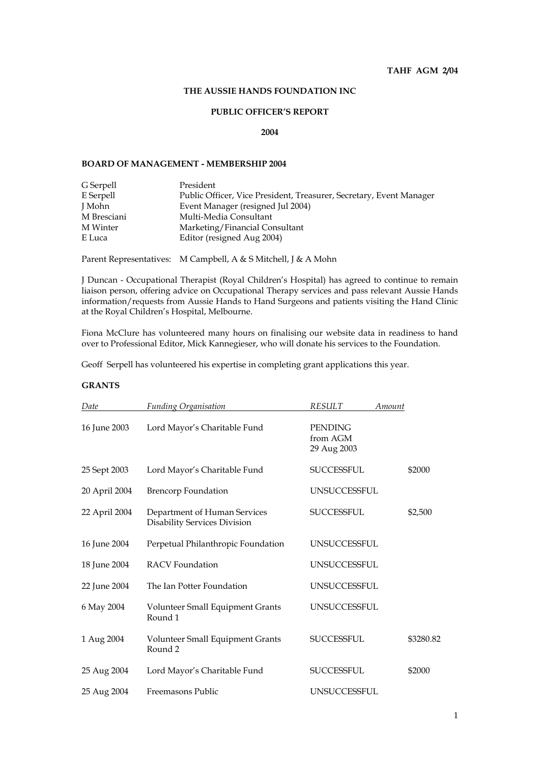# **THE AUSSIE HANDS FOUNDATION INC**

## **PUBLIC OFFICER'S REPORT**

#### **2004**

# **BOARD OF MANAGEMENT - MEMBERSHIP 2004**

| G Serpell   | President                                                           |
|-------------|---------------------------------------------------------------------|
| E Serpell   | Public Officer, Vice President, Treasurer, Secretary, Event Manager |
| J Mohn      | Event Manager (resigned Jul 2004)                                   |
| M Bresciani | Multi-Media Consultant                                              |
| M Winter    | Marketing/Financial Consultant                                      |
| E Luca      | Editor (resigned Aug 2004)                                          |

Parent Representatives: M Campbell, A & S Mitchell, J & A Mohn

J Duncan - Occupational Therapist (Royal Children's Hospital) has agreed to continue to remain liaison person, offering advice on Occupational Therapy services and pass relevant Aussie Hands information/requests from Aussie Hands to Hand Surgeons and patients visiting the Hand Clinic at the Royal Children's Hospital, Melbourne.

Fiona McClure has volunteered many hours on finalising our website data in readiness to hand over to Professional Editor, Mick Kannegieser, who will donate his services to the Foundation.

Geoff Serpell has volunteered his expertise in completing grant applications this year.

# **GRANTS**

| Date          | <b>Funding Organisation</b>                                  | RESULT<br><b>Amount</b>                   |           |
|---------------|--------------------------------------------------------------|-------------------------------------------|-----------|
| 16 June 2003  | Lord Mayor's Charitable Fund                                 | <b>PENDING</b><br>from AGM<br>29 Aug 2003 |           |
| 25 Sept 2003  | Lord Mayor's Charitable Fund                                 | <b>SUCCESSFUL</b>                         | \$2000    |
| 20 April 2004 | <b>Brencorp Foundation</b>                                   | UNSUCCESSFUL                              |           |
| 22 April 2004 | Department of Human Services<br>Disability Services Division | <b>SUCCESSFUL</b>                         | \$2,500   |
| 16 June 2004  | Perpetual Philanthropic Foundation                           | UNSUCCESSFUL                              |           |
| 18 June 2004  | <b>RACV</b> Foundation                                       | UNSUCCESSFUL                              |           |
| 22 June 2004  | The Ian Potter Foundation                                    | UNSUCCESSFUL                              |           |
| 6 May 2004    | Volunteer Small Equipment Grants<br>Round 1                  | UNSUCCESSFUL                              |           |
| 1 Aug 2004    | Volunteer Small Equipment Grants<br>Round <sub>2</sub>       | <b>SUCCESSFUL</b>                         | \$3280.82 |
| 25 Aug 2004   | Lord Mayor's Charitable Fund                                 | <b>SUCCESSFUL</b>                         | \$2000    |
| 25 Aug 2004   | Freemasons Public                                            | UNSUCCESSFUL                              |           |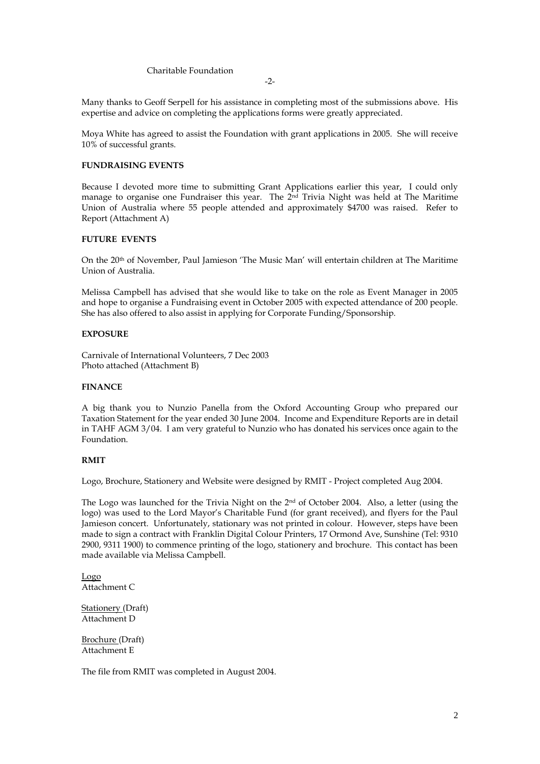Charitable Foundation

Many thanks to Geoff Serpell for his assistance in completing most of the submissions above. His expertise and advice on completing the applications forms were greatly appreciated.

Moya White has agreed to assist the Foundation with grant applications in 2005. She will receive 10% of successful grants.

## **FUNDRAISING EVENTS**

Because I devoted more time to submitting Grant Applications earlier this year, I could only manage to organise one Fundraiser this year. The 2<sup>nd</sup> Trivia Night was held at The Maritime Union of Australia where 55 people attended and approximately \$4700 was raised. Refer to Report (Attachment A)

## **FUTURE EVENTS**

On the 20th of November, Paul Jamieson 'The Music Man' will entertain children at The Maritime Union of Australia.

Melissa Campbell has advised that she would like to take on the role as Event Manager in 2005 and hope to organise a Fundraising event in October 2005 with expected attendance of 200 people. She has also offered to also assist in applying for Corporate Funding/Sponsorship.

### **EXPOSURE**

Carnivale of International Volunteers, 7 Dec 2003 Photo attached (Attachment B)

#### **FINANCE**

A big thank you to Nunzio Panella from the Oxford Accounting Group who prepared our Taxation Statement for the year ended 30 June 2004. Income and Expenditure Reports are in detail in TAHF AGM 3/04. I am very grateful to Nunzio who has donated his services once again to the Foundation.

## **RMIT**

Logo, Brochure, Stationery and Website were designed by RMIT - Project completed Aug 2004.

The Logo was launched for the Trivia Night on the 2<sup>nd</sup> of October 2004. Also, a letter (using the logo) was used to the Lord Mayor's Charitable Fund (for grant received), and flyers for the Paul Jamieson concert. Unfortunately, stationary was not printed in colour. However, steps have been made to sign a contract with Franklin Digital Colour Printers, 17 Ormond Ave, Sunshine (Tel: 9310 2900, 9311 1900) to commence printing of the logo, stationery and brochure. This contact has been made available via Melissa Campbell.

Logo Attachment C

Stationery (Draft) Attachment D

Brochure (Draft) Attachment E

The file from RMIT was completed in August 2004.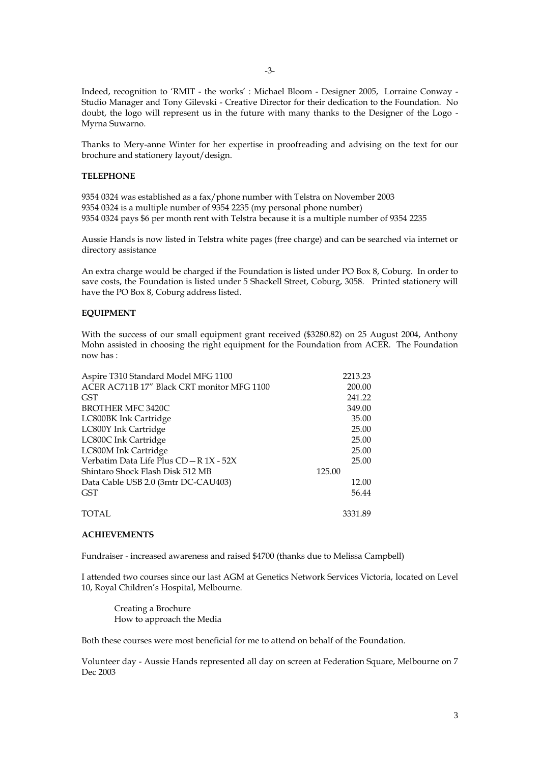-3-

Indeed, recognition to 'RMIT - the works' : Michael Bloom - Designer 2005, Lorraine Conway - Studio Manager and Tony Gilevski - Creative Director for their dedication to the Foundation. No doubt, the logo will represent us in the future with many thanks to the Designer of the Logo - Myrna Suwarno.

Thanks to Mery-anne Winter for her expertise in proofreading and advising on the text for our brochure and stationery layout/design.

### **TELEPHONE**

9354 0324 was established as a fax/phone number with Telstra on November 2003 9354 0324 is a multiple number of 9354 2235 (my personal phone number) 9354 0324 pays \$6 per month rent with Telstra because it is a multiple number of 9354 2235

Aussie Hands is now listed in Telstra white pages (free charge) and can be searched via internet or directory assistance

An extra charge would be charged if the Foundation is listed under PO Box 8, Coburg. In order to save costs, the Foundation is listed under 5 Shackell Street, Coburg, 3058. Printed stationery will have the PO Box 8, Coburg address listed.

### **EQUIPMENT**

With the success of our small equipment grant received (\$3280.82) on 25 August 2004, Anthony Mohn assisted in choosing the right equipment for the Foundation from ACER. The Foundation now has :

| Aspire T310 Standard Model MFG 1100        | 2213.23 |
|--------------------------------------------|---------|
| ACER AC711B 17" Black CRT monitor MFG 1100 | 200.00  |
| <b>GST</b>                                 | 241.22  |
| <b>BROTHER MFC 3420C</b>                   | 349.00  |
| LC800BK Ink Cartridge                      | 35.00   |
| LC800Y Ink Cartridge                       | 25.00   |
| LC800C Ink Cartridge                       | 25.00   |
| LC800M Ink Cartridge                       | 25.00   |
| Verbatim Data Life Plus CD - R 1X - 52X    | 25.00   |
| Shintaro Shock Flash Disk 512 MB           | 125.00  |
| Data Cable USB 2.0 (3mtr DC-CAU403)        | 12.00   |
| <b>GST</b>                                 | 56.44   |
| TOTAL                                      | 3331.89 |

#### **ACHIEVEMENTS**

Fundraiser - increased awareness and raised \$4700 (thanks due to Melissa Campbell)

I attended two courses since our last AGM at Genetics Network Services Victoria, located on Level 10, Royal Children's Hospital, Melbourne.

Creating a Brochure How to approach the Media

Both these courses were most beneficial for me to attend on behalf of the Foundation.

Volunteer day - Aussie Hands represented all day on screen at Federation Square, Melbourne on 7 Dec 2003